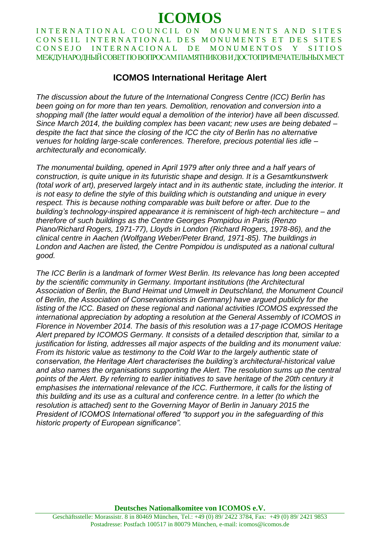# **ICOMOS**

INTERNATIONAL COUNCIL ON MONUMENTS AND SITES CONSEIL INTERNATIONAL DES MONUMENTS ET DES SITES CONSEJO INTERNACIONAL DE MONUMENTOS Y SITIOS МЕЖДУНАРОДНЫЙ СОВЕТ ПО ВОПРОСАМ ПАМЯТНИКОВ И ДОСТОПРИМЕЧАТЕЛЬНЫХ МЕСТ

# **ICOMOS International Heritage Alert**

*The discussion about the future of the International Congress Centre (ICC) Berlin has been going on for more than ten years. Demolition, renovation and conversion into a shopping mall (the latter would equal a demolition of the interior) have all been discussed. Since March 2014, the building complex has been vacant; new uses are being debated – despite the fact that since the closing of the ICC the city of Berlin has no alternative venues for holding large-scale conferences. Therefore, precious potential lies idle – architecturally and economically.*

*The monumental building, opened in April 1979 after only three and a half years of construction, is quite unique in its futuristic shape and design. It is a Gesamtkunstwerk (total work of art), preserved largely intact and in its authentic state, including the interior. It is not easy to define the style of this building which is outstanding and unique in every respect. This is because nothing comparable was built before or after. Due to the building's technology-inspired appearance it is reminiscent of high-tech architecture – and therefore of such buildings as the Centre Georges Pompidou in Paris (Renzo Piano/Richard Rogers, 1971-77), Lloyds in London (Richard Rogers, 1978-86), and the clinical centre in Aachen (Wolfgang Weber/Peter Brand, 1971-85). The buildings in London and Aachen are listed, the Centre Pompidou is undisputed as a national cultural good.* 

*The ICC Berlin is a landmark of former West Berlin. Its relevance has long been accepted by the scientific community in Germany. Important institutions (the Architectural Association of Berlin, the Bund Heimat und Umwelt in Deutschland, the Monument Council of Berlin, the Association of Conservationists in Germany) have argued publicly for the listing of the ICC. Based on these regional and national activities ICOMOS expressed the international appreciation by adopting a resolution at the General Assembly of ICOMOS in Florence in November 2014. The basis of this resolution was a 17-page ICOMOS Heritage Alert prepared by ICOMOS Germany. It consists of a detailed description that, similar to a justification for listing, addresses all major aspects of the building and its monument value: From its historic value as testimony to the Cold War to the largely authentic state of conservation, the Heritage Alert characterises the building's architectural-historical value and also names the organisations supporting the Alert. The resolution sums up the central*  points of the Alert. By referring to earlier initiatives to save heritage of the 20th century it *emphasises the international relevance of the ICC. Furthermore, it calls for the listing of this building and its use as a cultural and conference centre. In a letter (to which the resolution is attached) sent to the Governing Mayor of Berlin in January 2015 the President of ICOMOS International offered "to support you in the safeguarding of this historic property of European significance".*

**Deutsches Nationalkomitee von ICOMOS e.V.**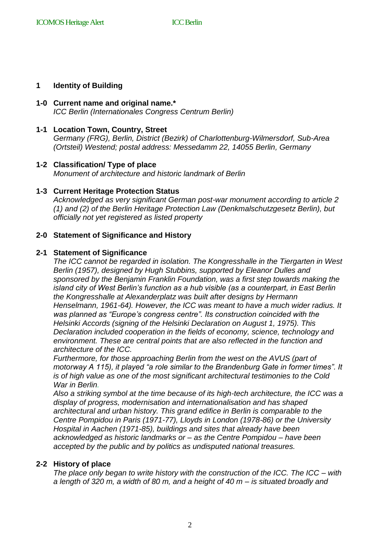#### **1 Identity of Building**

# **1-0 Current name and original name.\***

*ICC Berlin (Internationales Congress Centrum Berlin)* 

#### **1-1 Location Town, Country, Street**

*Germany (FRG), Berlin, District (Bezirk) of Charlottenburg-Wilmersdorf, Sub-Area (Ortsteil) Westend; postal address: Messedamm 22, 14055 Berlin, Germany*

#### **1-2 Classification/ Type of place**

*Monument of architecture and historic landmark of Berlin* 

#### **1-3 Current Heritage Protection Status**

*Acknowledged as very significant German post-war monument according to article 2 (1) and (2) of the Berlin Heritage Protection Law (Denkmalschutzgesetz Berlin), but officially not yet registered as listed property* 

#### **2-0 Statement of Significance and History**

#### **2-1 Statement of Significance**

*The ICC cannot be regarded in isolation. The Kongresshalle in the Tiergarten in West Berlin (1957), designed by Hugh Stubbins, supported by Eleanor Dulles and sponsored by the Benjamin Franklin Foundation, was a first step towards making the island city of West Berlin's function as a hub visible (as a counterpart, in East Berlin the Kongresshalle at Alexanderplatz was built after designs by Hermann Henselmann, 1961-64). However, the ICC was meant to have a much wider radius. It was planned as "Europe's congress centre". Its construction coincided with the Helsinki Accords (signing of the Helsinki Declaration on August 1, 1975). This Declaration included cooperation in the fields of economy, science, technology and environment. These are central points that are also reflected in the function and architecture of the ICC.*

*Furthermore, for those approaching Berlin from the west on the AVUS (part of motorway A 115), it played "a role similar to the Brandenburg Gate in former times". It is of high value as one of the most significant architectural testimonies to the Cold War in Berlin.*

*Also a striking symbol at the time because of its high-tech architecture, the ICC was a display of progress, modernisation and internationalisation and has shaped architectural and urban history. This grand edifice in Berlin is comparable to the Centre Pompidou in Paris (1971-77), Lloyds in London (1978-86) or the University Hospital in Aachen (1971-85), buildings and sites that already have been acknowledged as historic landmarks or – as the Centre Pompidou – have been accepted by the public and by politics as undisputed national treasures.*

#### **2-2 History of place**

*The place only began to write history with the construction of the ICC. The ICC – with a length of 320 m, a width of 80 m, and a height of 40 m – is situated broadly and*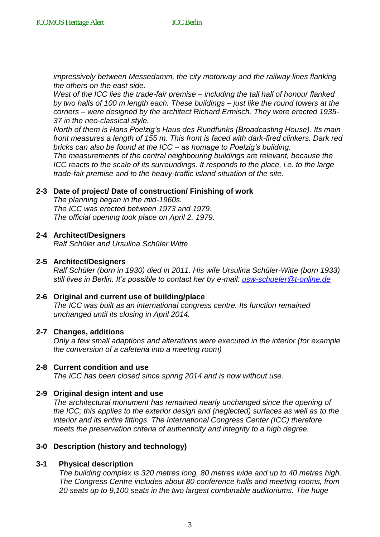*impressively between Messedamm, the city motorway and the railway lines flanking the others on the east side.*

*West of the ICC lies the trade-fair premise – including the tall hall of honour flanked by two halls of 100 m length each. These buildings – just like the round towers at the corners – were designed by the architect Richard Ermisch. They were erected 1935- 37 in the neo-classical style.*

*North of them is Hans Poelzig's Haus des Rundfunks (Broadcasting House). Its main front measures a length of 155 m. This front is faced with dark-fired clinkers. Dark red bricks can also be found at the ICC – as homage to Poelzig's building.*

*The measurements of the central neighbouring buildings are relevant, because the ICC reacts to the scale of its surroundings. It responds to the place, i.e. to the large trade-fair premise and to the heavy-traffic island situation of the site.* 

#### **2-3 Date of project/ Date of construction/ Finishing of work**

*The planning began in the mid-1960s. The ICC was erected between 1973 and 1979. The official opening took place on April 2, 1979.*

#### **2-4 Architect/Designers**

*Ralf Schüler and Ursulina Schüler Witte*

#### **2-5 Architect/Designers**

*Ralf Schüler (born in 1930) died in 2011. His wife Ursulina Schüler-Witte (born 1933) still lives in Berlin. It's possible to contact her by e-mail: [usw-schueler@t-online.de](mailto:usw-schueler@t-online.de)*

#### **2-6 Original and current use of building/place**

*The ICC was built as an international congress centre. Its function remained unchanged until its closing in April 2014.*

#### **2-7 Changes, additions**

*Only a few small adaptions and alterations were executed in the interior (for example the conversion of a cafeteria into a meeting room)* 

#### **2-8 Current condition and use**

*The ICC has been closed since spring 2014 and is now without use.*

#### **2-9 Original design intent and use**

*The architectural monument has remained nearly unchanged since the opening of the ICC; this applies to the exterior design and (neglected) surfaces as well as to the interior and its entire fittings. The International Congress Center (ICC) therefore meets the preservation criteria of authenticity and integrity to a high degree.*

#### **3-0 Description (history and technology)**

#### **3-1 Physical description**

*The building complex is 320 metres long, 80 metres wide and up to 40 metres high. The Congress Centre includes about 80 conference halls and meeting rooms, from 20 seats up to 9,100 seats in the two largest combinable auditoriums. The huge*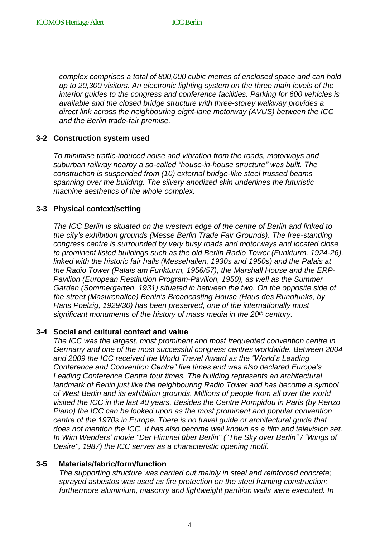*complex comprises a total of 800,000 cubic metres of enclosed space and can hold up to 20,300 visitors. An electronic lighting system on the three main levels of the interior guides to the congress and conference facilities. Parking for 600 vehicles is available and the closed bridge structure with three-storey walkway provides a direct link across the neighbouring eight-lane motorway (AVUS) between the ICC and the Berlin trade-fair premise.* 

# **3-2 Construction system used**

*To minimise traffic-induced noise and vibration from the roads, motorways and suburban railway nearby a so-called "house-in-house structure" was built. The construction is suspended from (10) external bridge-like steel trussed beams spanning over the building. The silvery anodized skin underlines the futuristic machine aesthetics of the whole complex.* 

#### **3-3 Physical context/setting**

*The ICC Berlin is situated on the western edge of the centre of Berlin and linked to the city's exhibition grounds (Messe Berlin Trade Fair Grounds). The free-standing congress centre is surrounded by very busy roads and motorways and located close to prominent listed buildings such as the old Berlin Radio Tower (Funkturm, 1924-26), linked with the historic fair halls (Messehallen, 1930s and 1950s) and the Palais at the Radio Tower (Palais am Funkturm, 1956/57), the Marshall House and the ERP-Pavilion (European Restitution Program-Pavilion, 1950), as well as the Summer Garden (Sommergarten, 1931) situated in between the two. On the opposite side of the street (Masurenallee) Berlin's Broadcasting House (Haus des Rundfunks, by Hans Poelzig, 1929/30) has been preserved, one of the internationally most significant monuments of the history of mass media in the 20th century.*

#### **3-4 Social and cultural context and value**

*The ICC was the largest, most prominent and most frequented convention centre in Germany and one of the most successful congress centres worldwide. Between 2004 and 2009 the ICC received the World Travel Award as the "World's Leading Conference and Convention Centre" five times and was also declared Europe's Leading Conference Centre four times. The building represents an architectural landmark of Berlin just like the neighbouring Radio Tower and has become a symbol of West Berlin and its exhibition grounds. Millions of people from all over the world visited the ICC in the last 40 years. Besides the Centre Pompidou in Paris (by Renzo Piano) the ICC can be looked upon as the most prominent and popular convention centre of the 1970s in Europe. There is no travel guide or architectural guide that does not mention the ICC. It has also become well known as a film and television set. In Wim Wenders' movie "Der Himmel über Berlin" ("The Sky over Berlin" / "Wings of Desire", 1987) the ICC serves as a characteristic opening motif.*

#### **3-5 Materials/fabric/form/function**

*The supporting structure was carried out mainly in steel and reinforced concrete; sprayed asbestos was used as fire protection on the steel framing construction; furthermore aluminium, masonry and lightweight partition walls were executed. In*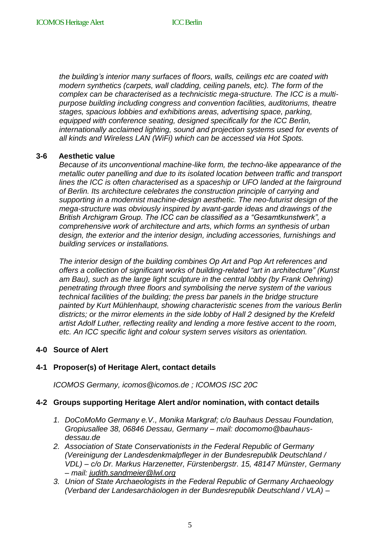*the building's interior many surfaces of floors, walls, ceilings etc are coated with modern synthetics (carpets, wall cladding, ceiling panels, etc). The form of the complex can be characterised as a technicistic mega-structure. The ICC is a multipurpose building including congress and convention facilities, auditoriums, theatre stages, spacious lobbies and exhibitions areas, advertising space, parking, equipped with conference seating, designed specifically for the ICC Berlin, internationally acclaimed lighting, sound and projection systems used for events of all kinds and Wireless LAN (WiFi) which can be accessed via Hot Spots.*

#### **3-6 Aesthetic value**

*Because of its unconventional machine-like form, the techno-like appearance of the metallic outer panelling and due to its isolated location between traffic and transport lines the ICC is often characterised as a spaceship or UFO landed at the fairground of Berlin. Its architecture celebrates the construction principle of carrying and supporting in a modernist machine-design aesthetic. The neo-futurist design of the mega-structure was obviously inspired by avant-garde ideas and drawings of the British Archigram Group. The ICC can be classified as a "Gesamtkunstwerk", a comprehensive work of architecture and arts, which forms an synthesis of urban design, the exterior and the interior design, including accessories, furnishings and building services or installations.*

*The interior design of the building combines Op Art and Pop Art references and offers a collection of significant works of building-related "art in architecture" (Kunst*  am Bau), such as the large light sculpture in the central lobby (by Frank Oehring) *penetrating through three floors and symbolising the nerve system of the various technical facilities of the building; the press bar panels in the bridge structure painted by Kurt Mühlenhaupt, showing characteristic scenes from the various Berlin districts; or the mirror elements in the side lobby of Hall 2 designed by the Krefeld artist Adolf Luther, reflecting reality and lending a more festive accent to the room, etc. An ICC specific light and colour system serves visitors as orientation.* 

#### **4-0 Source of Alert**

# **4-1 Proposer(s) of Heritage Alert, contact details**

*ICOMOS Germany, icomos@icomos.de ; ICOMOS ISC 20C*

#### **4-2 Groups supporting Heritage Alert and/or nomination, with contact details**

- *1. DoCoMoMo Germany e.V., Monika Markgraf; c/o Bauhaus Dessau Foundation, Gropiusallee 38, 06846 Dessau, Germany – mail: docomomo@bauhausdessau.de*
- *2. Association of State Conservationists in the Federal Republic of Germany (Vereinigung der Landesdenkmalpfleger in der Bundesrepublik Deutschland / VDL) – c/o Dr. Markus Harzenetter, Fürstenbergstr. 15, 48147 Münster, Germany – mail: [judith.sandmeier@lwl.org](mailto:judith.sandmeier@lwl.org)*
- *3. Union of State Archaeologists in the Federal Republic of Germany Archaeology (Verband der Landesarchäologen in der Bundesrepublik Deutschland / VLA) –*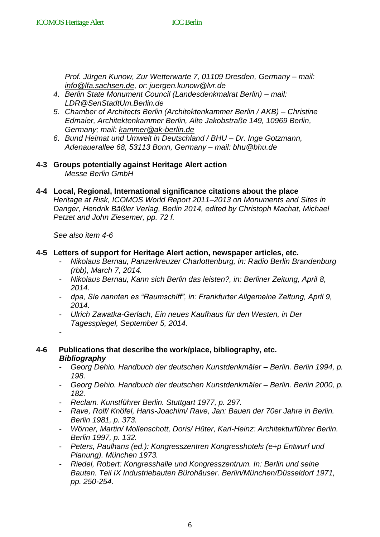*Prof. Jürgen Kunow, Zur Wetterwarte 7, 01109 Dresden, Germany – mail: [info@lfa.sachsen.de,](mailto:info@lfa.sachsen.de) or: juergen.kunow@lvr.de* 

- *4. Berlin State Monument Council (Landesdenkmalrat Berlin) – mail: [LDR@SenStadtUm.Berlin.de](mailto:LDR@SenStadtUm.Berlin.de)*
- *5. Chamber of Architects Berlin (Architektenkammer Berlin / AKB) – Christine Edmaier, Architektenkammer Berlin, Alte Jakobstraße 149, 10969 Berlin, Germany; mail: [kammer@ak-berlin.de](mailto:kammer@ak-berlin.de)*
- *6. Bund Heimat und Umwelt in Deutschland / BHU – Dr. Inge Gotzmann, Adenauerallee 68, 53113 Bonn, Germany – mail: [bhu@bhu.de](mailto:bhu@bhu.de)*
- **4-3 Groups potentially against Heritage Alert action** *Messe Berlin GmbH*
- **4-4 Local, Regional, International significance citations about the place** *Heritage at Risk, ICOMOS World Report 2011–2013 on Monuments and Sites in Danger, Hendrik Bäßler Verlag, Berlin 2014, edited by Christoph Machat, Michael Petzet and John Ziesemer, pp. 72 f.*

*See also item 4-6*

#### **4-5 Letters of support for Heritage Alert action, newspaper articles, etc.**

- *Nikolaus Bernau, Panzerkreuzer Charlottenburg, in: Radio Berlin Brandenburg (rbb), March 7, 2014.*
- *Nikolaus Bernau, Kann sich Berlin das leisten?, in: Berliner Zeitung, April 8, 2014.*
- *dpa, Sie nannten es "Raumschiff", in: Frankfurter Allgemeine Zeitung, April 9, 2014.*
- *Ulrich Zawatka-Gerlach, Ein neues Kaufhaus für den Westen, in Der Tagesspiegel, September 5, 2014.*
- -
- **4-6 Publications that describe the work/place, bibliography, etc.** *Bibliography*
	- *Georg Dehio. Handbuch der deutschen Kunstdenkmäler – Berlin. Berlin 1994, p. 198.*
	- *Georg Dehio. Handbuch der deutschen Kunstdenkmäler – Berlin. Berlin 2000, p. 182.*
	- *Reclam. Kunstführer Berlin. Stuttgart 1977, p. 297.*
	- *Rave, Rolf/ Knöfel, Hans-Joachim/ Rave, Jan: Bauen der 70er Jahre in Berlin. Berlin 1981, p. 373.*
	- *Wörner, Martin/ Mollenschott, Doris/ Hüter, Karl-Heinz: Architekturführer Berlin. Berlin 1997, p. 132.*
	- *Peters, Paulhans (ed.): Kongresszentren Kongresshotels (e+p Entwurf und Planung). München 1973.*
	- *Riedel, Robert: Kongresshalle und Kongresszentrum. In: Berlin und seine Bauten. Teil IX Industriebauten Bürohäuser. Berlin/München/Düsseldorf 1971, pp. 250-254.*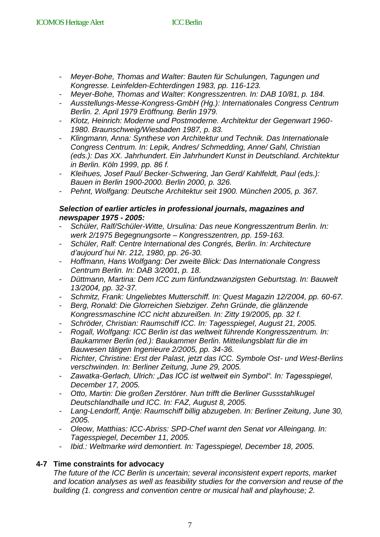- *Meyer-Bohe, Thomas and Walter: Bauten für Schulungen, Tagungen und Kongresse. Leinfelden-Echterdingen 1983, pp. 116-123.*
- *Meyer-Bohe, Thomas and Walter: Kongresszentren. In: DAB 10/81, p. 184.*
- *Ausstellungs-Messe-Kongress-GmbH (Hg.): Internationales Congress Centrum Berlin. 2. April 1979 Eröffnung. Berlin 1979.*
- *Klotz, Heinrich: Moderne und Postmoderne. Architektur der Gegenwart 1960- 1980. Braunschweig/Wiesbaden 1987, p. 83.*
- *Klingmann, Anna: Synthese von Architektur und Technik. Das Internationale Congress Centrum. In: Lepik, Andres/ Schmedding, Anne/ Gahl, Christian (eds.): Das XX. Jahrhundert. Ein Jahrhundert Kunst in Deutschland. Architektur in Berlin. Köln 1999, pp. 86 f.*
- *Kleihues, Josef Paul/ Becker-Schwering, Jan Gerd/ Kahlfeldt, Paul (eds.): Bauen in Berlin 1900-2000. Berlin 2000, p. 326.*
- *Pehnt, Wolfgang: Deutsche Architektur seit 1900. München 2005, p. 367.*

#### *Selection of earlier articles in professional journals, magazines and newspaper 1975 - 2005:*

- *Schüler, Ralf/Schüler-Witte, Ursulina: Das neue Kongresszentrum Berlin. In: werk 2/1975 Begegnungsorte – Kongresszentren, pp. 159-163.*
- *Schüler, Ralf: Centre International des Congrés, Berlin. In: Architecture d'aujourd´hui Nr. 212, 1980, pp. 26-30.*
- *Hoffmann, Hans Wolfgang: Der zweite Blick: Das Internationale Congress Centrum Berlin. In: DAB 3/2001, p. 18.*
- *Düttmann, Martina: Dem ICC zum fünfundzwanzigsten Geburtstag. In: Bauwelt 13/2004, pp. 32-37.*
- *Schmitz, Frank: Ungeliebtes Mutterschiff. In: Quest Magazin 12/2004, pp. 60-67.*
- *Berg, Ronald: Die Glorreichen Siebziger. Zehn Gründe, die glänzende Kongressmaschine ICC nicht abzureißen. In: Zitty 19/2005, pp. 32 f.*
- *Schröder, Christian: Raumschiff ICC. In: Tagesspiegel, August 21, 2005.*
- *Rogall, Wolfgang: ICC Berlin ist das weltweit führende Kongresszentrum. In: Baukammer Berlin (ed.): Baukammer Berlin. Mitteilungsblatt für die im Bauwesen tätigen Ingenieure 2/2005, pp. 34-36.*
- *Richter, Christine: Erst der Palast, jetzt das ICC. Symbole Ost- und West-Berlins verschwinden. In: Berliner Zeitung, June 29, 2005.*
- Zawatka-Gerlach, Ulrich: "Das ICC ist weltweit ein Symbol". In: Tagesspiegel, *December 17, 2005.*
- *Otto, Martin: Die großen Zerstörer. Nun trifft die Berliner Gussstahlkugel Deutschlandhalle und ICC. In: FAZ, August 8, 2005.*
- *Lang-Lendorff, Antje: Raumschiff billig abzugeben. In: Berliner Zeitung, June 30, 2005.*
- *Oleow, Matthias: ICC-Abriss: SPD-Chef warnt den Senat vor Alleingang. In: Tagesspiegel, December 11, 2005.*
- *Ibid.: Weltmarke wird demontiert. In: Tagesspiegel, December 18, 2005.*

# **4-7 Time constraints for advocacy**

*The future of the ICC Berlin is uncertain; several inconsistent expert reports, market and location analyses as well as feasibility studies for the conversion and reuse of the building (1. congress and convention centre or musical hall and playhouse; 2.*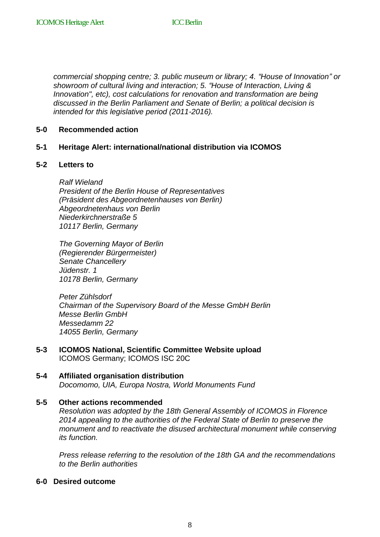*commercial shopping centre; 3. public museum or library; 4. "House of Innovation" or showroom of cultural living and interaction; 5. "House of Interaction, Living & Innovation", etc), cost calculations for renovation and transformation are being discussed in the Berlin Parliament and Senate of Berlin; a political decision is intended for this legislative period (2011-2016).* 

#### **5-0 Recommended action**

#### **5-1 Heritage Alert: international/national distribution via ICOMOS**

#### **5-2 Letters to**

*Ralf Wieland President of the Berlin House of Representatives (Präsident des Abgeordnetenhauses von Berlin) Abgeordnetenhaus von Berlin Niederkirchnerstraße 5 10117 Berlin, Germany*

*The Governing Mayor of Berlin (Regierender Bürgermeister) Senate Chancellery Jüdenstr. 1 10178 Berlin, Germany*

*Peter Zühlsdorf Chairman of the Supervisory Board of the Messe GmbH Berlin Messe Berlin GmbH Messedamm 22 14055 Berlin, Germany*

- **5-3 ICOMOS National, Scientific Committee Website upload** ICOMOS Germany; ICOMOS ISC 20C
- **5-4 Affiliated organisation distribution** *Docomomo, UIA, Europa Nostra, World Monuments Fund*

#### **5-5 Other actions recommended**

*Resolution was adopted by the 18th General Assembly of ICOMOS in Florence 2014 appealing to the authorities of the Federal State of Berlin to preserve the monument and to reactivate the disused architectural monument while conserving its function.*

*Press release referring to the resolution of the 18th GA and the recommendations to the Berlin authorities* 

#### **6-0 Desired outcome**